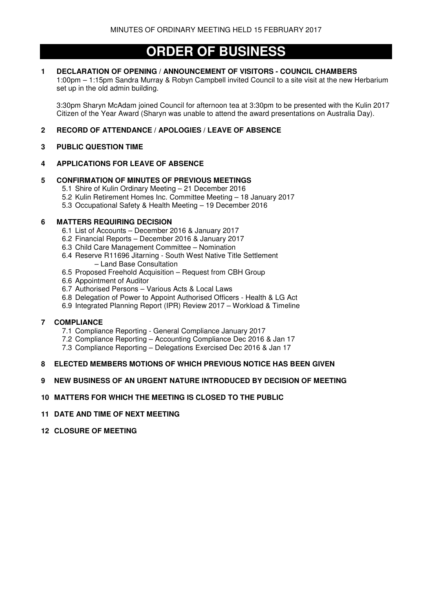# **ORDER OF BUSINESS**

# **1 DECLARATION OF OPENING / ANNOUNCEMENT OF VISITORS - COUNCIL CHAMBERS**

 1:00pm – 1:15pm Sandra Murray & Robyn Campbell invited Council to a site visit at the new Herbarium set up in the old admin building.

3:30pm Sharyn McAdam joined Council for afternoon tea at 3:30pm to be presented with the Kulin 2017 Citizen of the Year Award (Sharyn was unable to attend the award presentations on Australia Day).

# **2 RECORD OF ATTENDANCE / APOLOGIES / LEAVE OF ABSENCE**

# **3 PUBLIC QUESTION TIME**

# **4 APPLICATIONS FOR LEAVE OF ABSENCE**

# **5 CONFIRMATION OF MINUTES OF PREVIOUS MEETINGS**

- 5.1 Shire of Kulin Ordinary Meeting 21 December 2016
- 5.2 Kulin Retirement Homes Inc. Committee Meeting 18 January 2017
- 5.3 Occupational Safety & Health Meeting 19 December 2016

# **6 MATTERS REQUIRING DECISION**

- 6.1 List of Accounts December 2016 & January 2017
- 6.2 Financial Reports December 2016 & January 2017
- 6.3 Child Care Management Committee Nomination
- 6.4 Reserve R11696 Jitarning South West Native Title Settlement – Land Base Consultation
- 6.5 Proposed Freehold Acquisition Request from CBH Group
- 6.6 Appointment of Auditor
- 6.7 Authorised Persons Various Acts & Local Laws
- 6.8 Delegation of Power to Appoint Authorised Officers Health & LG Act
- 6.9 Integrated Planning Report (IPR) Review 2017 Workload & Timeline

# **7 COMPLIANCE**

- 7.1 Compliance Reporting General Compliance January 2017
- 7.2 Compliance Reporting Accounting Compliance Dec 2016 & Jan 17
- 7.3 Compliance Reporting Delegations Exercised Dec 2016 & Jan 17

# **8 ELECTED MEMBERS MOTIONS OF WHICH PREVIOUS NOTICE HAS BEEN GIVEN**

# **9 NEW BUSINESS OF AN URGENT NATURE INTRODUCED BY DECISION OF MEETING**

# **10 MATTERS FOR WHICH THE MEETING IS CLOSED TO THE PUBLIC**

- **11 DATE AND TIME OF NEXT MEETING**
- **12 CLOSURE OF MEETING**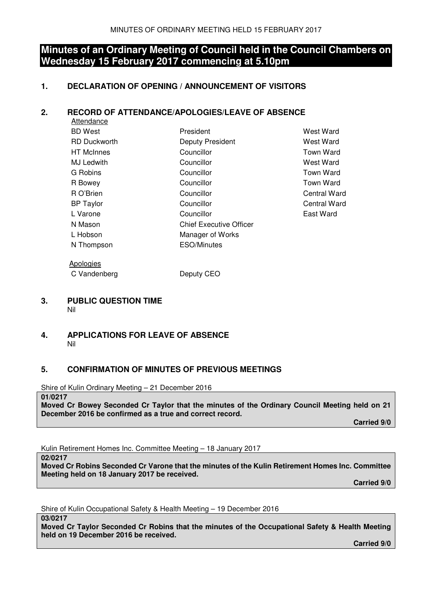# **Minutes of an Ordinary Meeting of Council held in the Council Chambers on Wednesday 15 February 2017 commencing at 5.10pm**

# **1. DECLARATION OF OPENING / ANNOUNCEMENT OF VISITORS**

# **2. RECORD OF ATTENDANCE/APOLOGIES/LEAVE OF ABSENCE**

| Attendance          |                                |                  |
|---------------------|--------------------------------|------------------|
| <b>BD</b> West      | President                      | West Ward        |
| <b>RD</b> Duckworth | Deputy President               | West Ward        |
| <b>HT</b> McInnes   | Councillor                     | Town Ward        |
| <b>MJ Ledwith</b>   | Councillor                     | West Ward        |
| G Robins            | Councillor                     | <b>Town Ward</b> |
| R Bowey             | Councillor                     | <b>Town Ward</b> |
| R O'Brien           | Councillor                     | Central Ward     |
| <b>BP</b> Taylor    | Councillor                     | Central Ward     |
| L Varone            | Councillor                     | East Ward        |
| N Mason             | <b>Chief Executive Officer</b> |                  |
| L Hobson            | Manager of Works               |                  |
| N Thompson          | <b>ESO/Minutes</b>             |                  |
|                     |                                |                  |

C Vandenberg Deputy CEO

Apologies

## **3. PUBLIC QUESTION TIME**  Nil

# **4. APPLICATIONS FOR LEAVE OF ABSENCE**  Nil

# **5. CONFIRMATION OF MINUTES OF PREVIOUS MEETINGS**

Shire of Kulin Ordinary Meeting – 21 December 2016

# **01/0217**

**Moved Cr Bowey Seconded Cr Taylor that the minutes of the Ordinary Council Meeting held on 21 December 2016 be confirmed as a true and correct record.** 

 **Carried 9/0** 

Kulin Retirement Homes Inc. Committee Meeting – 18 January 2017

**02/0217** 

**Moved Cr Robins Seconded Cr Varone that the minutes of the Kulin Retirement Homes Inc. Committee Meeting held on 18 January 2017 be received.** 

 **Carried 9/0** 

Shire of Kulin Occupational Safety & Health Meeting – 19 December 2016

**03/0217** 

**Moved Cr Taylor Seconded Cr Robins that the minutes of the Occupational Safety & Health Meeting held on 19 December 2016 be received.** 

 **Carried 9/0**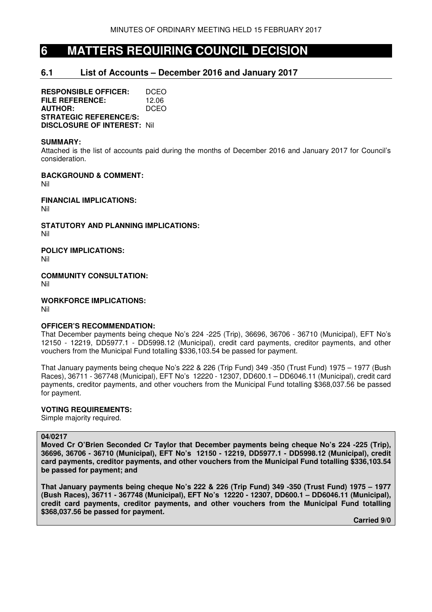# **6 MATTERS REQUIRING COUNCIL DECISION**

# **6.1 List of Accounts – December 2016 and January 2017**

**RESPONSIBLE OFFICER:** DCEO **FILE REFERENCE:** 12.06 **AUTHOR:** DCEO **STRATEGIC REFERENCE/S: DISCLOSURE OF INTEREST:** Nil

## **SUMMARY:**

Attached is the list of accounts paid during the months of December 2016 and January 2017 for Council's consideration.

**BACKGROUND & COMMENT:**  Nil

**FINANCIAL IMPLICATIONS:**  Nil

**STATUTORY AND PLANNING IMPLICATIONS:**  Nil

**POLICY IMPLICATIONS:** 

Nil

**COMMUNITY CONSULTATION:**  Nil

**WORKFORCE IMPLICATIONS:** 

Nil

# **OFFICER'S RECOMMENDATION:**

That December payments being cheque No's 224 -225 (Trip), 36696, 36706 - 36710 (Municipal), EFT No's 12150 - 12219, DD5977.1 - DD5998.12 (Municipal), credit card payments, creditor payments, and other vouchers from the Municipal Fund totalling \$336,103.54 be passed for payment.

That January payments being cheque No's 222 & 226 (Trip Fund) 349 -350 (Trust Fund) 1975 – 1977 (Bush Races), 36711 - 367748 (Municipal), EFT No's 12220 - 12307, DD600.1 – DD6046.11 (Municipal), credit card payments, creditor payments, and other vouchers from the Municipal Fund totalling \$368,037.56 be passed for payment.

# **VOTING REQUIREMENTS:**

Simple majority required.

## **04/0217**

**Moved Cr O'Brien Seconded Cr Taylor that December payments being cheque No's 224 -225 (Trip), 36696, 36706 - 36710 (Municipal), EFT No's 12150 - 12219, DD5977.1 - DD5998.12 (Municipal), credit card payments, creditor payments, and other vouchers from the Municipal Fund totalling \$336,103.54 be passed for payment; and** 

**That January payments being cheque No's 222 & 226 (Trip Fund) 349 -350 (Trust Fund) 1975 – 1977 (Bush Races), 36711 - 367748 (Municipal), EFT No's 12220 - 12307, DD600.1 – DD6046.11 (Municipal), credit card payments, creditor payments, and other vouchers from the Municipal Fund totalling \$368,037.56 be passed for payment.** 

 **Carried 9/0**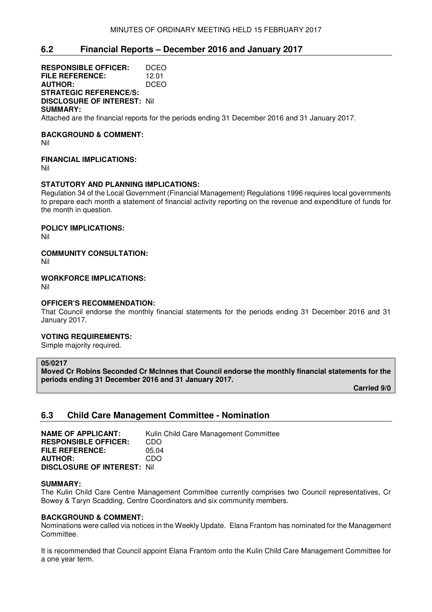# **6.2 Financial Reports – December 2016 and January 2017**

**RESPONSIBLE OFFICER:** DCEO **FILE REFERENCE:** 12.01<br>**AUTHOR:** DCEO **AUTHOR: STRATEGIC REFERENCE/S: DISCLOSURE OF INTEREST:** Nil **SUMMARY:** 

Attached are the financial reports for the periods ending 31 December 2016 and 31 January 2017.

# **BACKGROUND & COMMENT:**

Nil

# **FINANCIAL IMPLICATIONS:**

Nil

# **STATUTORY AND PLANNING IMPLICATIONS:**

Regulation 34 of the Local Government (Financial Management) Regulations 1996 requires local governments to prepare each month a statement of financial activity reporting on the revenue and expenditure of funds for the month in question.

# **POLICY IMPLICATIONS:**

Nil

# **COMMUNITY CONSULTATION:**

Nil

## **WORKFORCE IMPLICATIONS:**

Nil

# **OFFICER'S RECOMMENDATION:**

That Council endorse the monthly financial statements for the periods ending 31 December 2016 and 31 January 2017.

# **VOTING REQUIREMENTS:**

Simple majority required.

## **05/0217**

**Moved Cr Robins Seconded Cr McInnes that Council endorse the monthly financial statements for the periods ending 31 December 2016 and 31 January 2017.** 

 **Carried 9/0** 

# **6.3 Child Care Management Committee - Nomination**

| <b>NAME OF APPLICANT:</b>          | Kulin Child Care Management Committee |
|------------------------------------|---------------------------------------|
| <b>RESPONSIBLE OFFICER:</b>        | CDO                                   |
| <b>FILE REFERENCE:</b>             | 05.04                                 |
| <b>AUTHOR:</b>                     | CDO.                                  |
| <b>DISCLOSURE OF INTEREST: Nil</b> |                                       |

## **SUMMARY:**

The Kulin Child Care Centre Management Committee currently comprises two Council representatives, Cr Bowey & Taryn Scadding, Centre Coordinators and six community members.

# **BACKGROUND & COMMENT:**

Nominations were called via notices in the Weekly Update. Elana Frantom has nominated for the Management Committee.

It is recommended that Council appoint Elana Frantom onto the Kulin Child Care Management Committee for a one year term.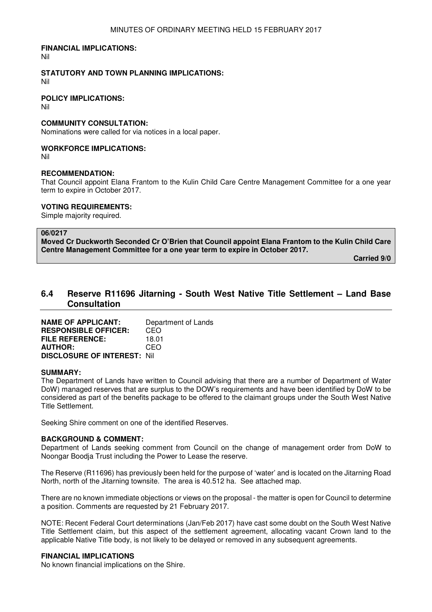## **FINANCIAL IMPLICATIONS:**

Nil

# **STATUTORY AND TOWN PLANNING IMPLICATIONS:**

Nil

## **POLICY IMPLICATIONS:**

Nil

## **COMMUNITY CONSULTATION:**

Nominations were called for via notices in a local paper.

# **WORKFORCE IMPLICATIONS:**

Nil

## **RECOMMENDATION:**

That Council appoint Elana Frantom to the Kulin Child Care Centre Management Committee for a one year term to expire in October 2017.

## **VOTING REQUIREMENTS:**

Simple majority required.

## **06/0217**

**Moved Cr Duckworth Seconded Cr O'Brien that Council appoint Elana Frantom to the Kulin Child Care Centre Management Committee for a one year term to expire in October 2017.** 

 **Carried 9/0** 

# **6.4 Reserve R11696 Jitarning - South West Native Title Settlement – Land Base Consultation**

**NAME OF APPLICANT:** Department of Lands **RESPONSIBLE OFFICER:** CEO **FILE REFERENCE:** 18.01 **AUTHOR:** CEO **DISCLOSURE OF INTEREST:** Nil

## **SUMMARY:**

The Department of Lands have written to Council advising that there are a number of Department of Water DoW) managed reserves that are surplus to the DOW's requirements and have been identified by DoW to be considered as part of the benefits package to be offered to the claimant groups under the South West Native Title Settlement.

Seeking Shire comment on one of the identified Reserves.

# **BACKGROUND & COMMENT:**

Department of Lands seeking comment from Council on the change of management order from DoW to Noongar Boodja Trust including the Power to Lease the reserve.

The Reserve (R11696) has previously been held for the purpose of 'water' and is located on the Jitarning Road North, north of the Jitarning townsite. The area is 40.512 ha. See attached map.

There are no known immediate objections or views on the proposal - the matter is open for Council to determine a position. Comments are requested by 21 February 2017.

NOTE: Recent Federal Court determinations (Jan/Feb 2017) have cast some doubt on the South West Native Title Settlement claim, but this aspect of the settlement agreement, allocating vacant Crown land to the applicable Native Title body, is not likely to be delayed or removed in any subsequent agreements.

## **FINANCIAL IMPLICATIONS**

No known financial implications on the Shire.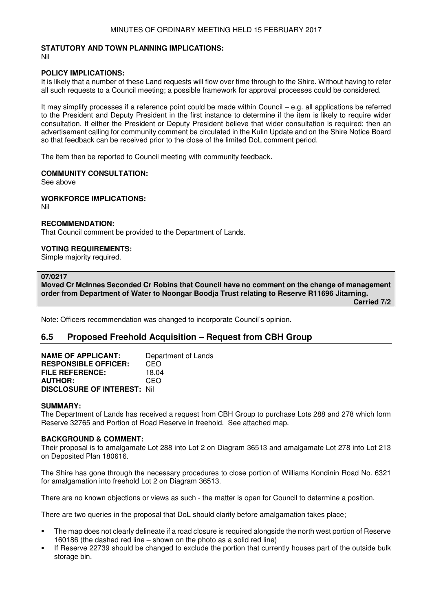# **STATUTORY AND TOWN PLANNING IMPLICATIONS:**

Nil

## **POLICY IMPLICATIONS:**

It is likely that a number of these Land requests will flow over time through to the Shire. Without having to refer all such requests to a Council meeting; a possible framework for approval processes could be considered.

It may simplify processes if a reference point could be made within Council – e.g. all applications be referred to the President and Deputy President in the first instance to determine if the item is likely to require wider consultation. If either the President or Deputy President believe that wider consultation is required; then an advertisement calling for community comment be circulated in the Kulin Update and on the Shire Notice Board so that feedback can be received prior to the close of the limited DoL comment period.

The item then be reported to Council meeting with community feedback.

## **COMMUNITY CONSULTATION:**

See above

## **WORKFORCE IMPLICATIONS:**

Nil

## **RECOMMENDATION:**

That Council comment be provided to the Department of Lands.

## **VOTING REQUIREMENTS:**

Simple majority required.

## **07/0217**

**Moved Cr McInnes Seconded Cr Robins that Council have no comment on the change of management order from Department of Water to Noongar Boodja Trust relating to Reserve R11696 Jitarning.** 

 **Carried 7/2** 

Note: Officers recommendation was changed to incorporate Council's opinion.

# **6.5 Proposed Freehold Acquisition – Request from CBH Group**

| <b>NAME OF APPLICANT:</b>          | Department of Lands |
|------------------------------------|---------------------|
| <b>RESPONSIBLE OFFICER:</b>        | CEO                 |
| <b>FILE REFERENCE:</b>             | 18.04               |
| <b>AUTHOR:</b>                     | CFO                 |
| <b>DISCLOSURE OF INTEREST: Nil</b> |                     |

## **SUMMARY:**

The Department of Lands has received a request from CBH Group to purchase Lots 288 and 278 which form Reserve 32765 and Portion of Road Reserve in freehold. See attached map.

## **BACKGROUND & COMMENT:**

Their proposal is to amalgamate Lot 288 into Lot 2 on Diagram 36513 and amalgamate Lot 278 into Lot 213 on Deposited Plan 180616.

The Shire has gone through the necessary procedures to close portion of Williams Kondinin Road No. 6321 for amalgamation into freehold Lot 2 on Diagram 36513.

There are no known objections or views as such - the matter is open for Council to determine a position.

There are two queries in the proposal that DoL should clarify before amalgamation takes place;

- The map does not clearly delineate if a road closure is required alongside the north west portion of Reserve 160186 (the dashed red line – shown on the photo as a solid red line)
- If Reserve 22739 should be changed to exclude the portion that currently houses part of the outside bulk storage bin.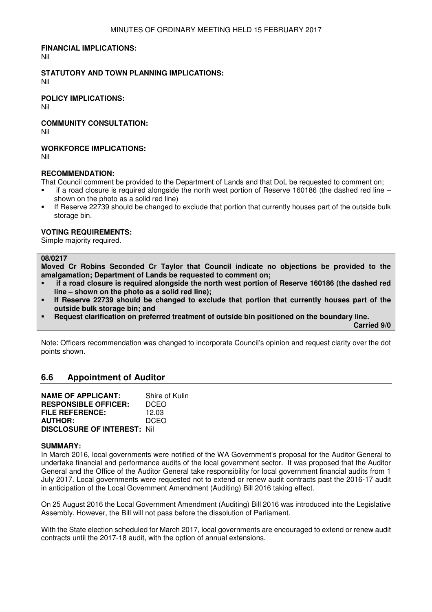## **FINANCIAL IMPLICATIONS:**

Nil

## **STATUTORY AND TOWN PLANNING IMPLICATIONS:**

Nil

## **POLICY IMPLICATIONS:**

Nil

**COMMUNITY CONSULTATION:** Nil

## **WORKFORCE IMPLICATIONS:**

Nil

## **RECOMMENDATION:**

That Council comment be provided to the Department of Lands and that DoL be requested to comment on;

- if a road closure is required alongside the north west portion of Reserve 160186 (the dashed red line shown on the photo as a solid red line)
- If Reserve 22739 should be changed to exclude that portion that currently houses part of the outside bulk storage bin.

## **VOTING REQUIREMENTS:**

Simple majority required.

## **08/0217**

**Moved Cr Robins Seconded Cr Taylor that Council indicate no objections be provided to the amalgamation; Department of Lands be requested to comment on;** 

- **if a road closure is required alongside the north west portion of Reserve 160186 (the dashed red line – shown on the photo as a solid red line);**
- **If Reserve 22739 should be changed to exclude that portion that currently houses part of the outside bulk storage bin; and**
- **Request clarification on preferred treatment of outside bin positioned on the boundary line.**

 **Carried 9/0** 

Note: Officers recommendation was changed to incorporate Council's opinion and request clarity over the dot points shown.

# **6.6 Appointment of Auditor**

| <b>NAME OF APPLICANT:</b>           | Shire of Kulin |
|-------------------------------------|----------------|
| <b>RESPONSIBLE OFFICER:</b>         | <b>DCEO</b>    |
| <b>FILE REFERENCE:</b>              | 12.03          |
| <b>AUTHOR:</b>                      | <b>DCEO</b>    |
| <b>DISCLOSURE OF INTEREST: Nill</b> |                |

## **SUMMARY:**

In March 2016, local governments were notified of the WA Government's proposal for the Auditor General to undertake financial and performance audits of the local government sector. It was proposed that the Auditor General and the Office of the Auditor General take responsibility for local government financial audits from 1 July 2017. Local governments were requested not to extend or renew audit contracts past the 2016-17 audit in anticipation of the Local Government Amendment (Auditing) Bill 2016 taking effect.

On 25 August 2016 the Local Government Amendment (Auditing) Bill 2016 was introduced into the Legislative Assembly. However, the Bill will not pass before the dissolution of Parliament.

With the State election scheduled for March 2017, local governments are encouraged to extend or renew audit contracts until the 2017-18 audit, with the option of annual extensions.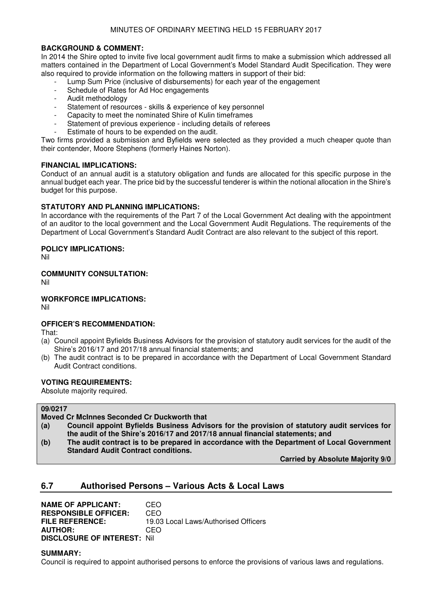# **BACKGROUND & COMMENT:**

In 2014 the Shire opted to invite five local government audit firms to make a submission which addressed all matters contained in the Department of Local Government's Model Standard Audit Specification. They were also required to provide information on the following matters in support of their bid:

- Lump Sum Price (inclusive of disbursements) for each year of the engagement
- Schedule of Rates for Ad Hoc engagements
- Audit methodology
- Statement of resources skills & experience of key personnel
- Capacity to meet the nominated Shire of Kulin timeframes
- Statement of previous experience including details of referees
- Estimate of hours to be expended on the audit.

Two firms provided a submission and Byfields were selected as they provided a much cheaper quote than their contender, Moore Stephens (formerly Haines Norton).

## **FINANCIAL IMPLICATIONS:**

Conduct of an annual audit is a statutory obligation and funds are allocated for this specific purpose in the annual budget each year. The price bid by the successful tenderer is within the notional allocation in the Shire's budget for this purpose.

## **STATUTORY AND PLANNING IMPLICATIONS:**

In accordance with the requirements of the Part 7 of the Local Government Act dealing with the appointment of an auditor to the local government and the Local Government Audit Regulations. The requirements of the Department of Local Government's Standard Audit Contract are also relevant to the subject of this report.

## **POLICY IMPLICATIONS:**

Nil

# **COMMUNITY CONSULTATION:**

Nil

# **WORKFORCE IMPLICATIONS:**

Nil

# **OFFICER'S RECOMMENDATION:**

That:

- (a) Council appoint Byfields Business Advisors for the provision of statutory audit services for the audit of the Shire's 2016/17 and 2017/18 annual financial statements; and
- (b) The audit contract is to be prepared in accordance with the Department of Local Government Standard Audit Contract conditions.

# **VOTING REQUIREMENTS:**

Absolute majority required.

## **09/0217 Moved Cr McInnes Seconded Cr Duckworth that (a) Council appoint Byfields Business Advisors for the provision of statutory audit services for the audit of the Shire's 2016/17 and 2017/18 annual financial statements; and (b) The audit contract is to be prepared in accordance with the Department of Local Government Standard Audit Contract conditions.**

 **Carried by Absolute Majority 9/0** 

# **6.7 Authorised Persons – Various Acts & Local Laws**

**NAME OF APPLICANT: CEO<br>
RESPONSIBLE OFFICER: CEO RESPONSIBLE OFFICER: FILE REFERENCE:** 19.03 Local Laws/Authorised Officers **AUTHOR:** CEO **DISCLOSURE OF INTEREST:** Nil

## **SUMMARY:**

Council is required to appoint authorised persons to enforce the provisions of various laws and regulations.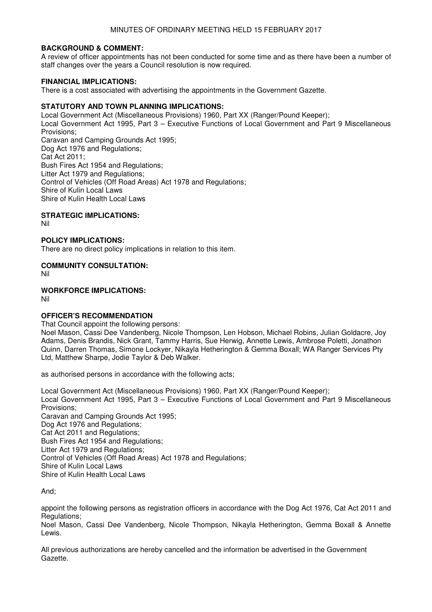## **BACKGROUND & COMMENT:**

A review of officer appointments has not been conducted for some time and as there have been a number of staff changes over the years a Council resolution is now required.

## **FINANCIAL IMPLICATIONS:**

There is a cost associated with advertising the appointments in the Government Gazette.

## **STATUTORY AND TOWN PLANNING IMPLICATIONS:**

Local Government Act (Miscellaneous Provisions) 1960, Part XX (Ranger/Pound Keeper); Local Government Act 1995, Part 3 – Executive Functions of Local Government and Part 9 Miscellaneous Provisions; Caravan and Camping Grounds Act 1995; Dog Act 1976 and Regulations; Cat Act 2011; Bush Fires Act 1954 and Regulations; Litter Act 1979 and Regulations; Control of Vehicles (Off Road Areas) Act 1978 and Regulations; Shire of Kulin Local Laws Shire of Kulin Health Local Laws

# **STRATEGIC IMPLICATIONS:**

Nil

## **POLICY IMPLICATIONS:**

There are no direct policy implications in relation to this item.

## **COMMUNITY CONSULTATION:**

Nil

## **WORKFORCE IMPLICATIONS:**

Nil

# **OFFICER'S RECOMMENDATION**

That Council appoint the following persons:

Noel Mason, Cassi Dee Vandenberg, Nicole Thompson, Len Hobson, Michael Robins, Julian Goldacre, Joy Adams, Denis Brandis, Nick Grant, Tammy Harris, Sue Herwig, Annette Lewis, Ambrose Poletti, Jonathon Quinn, Darren Thomas, Simone Lockyer, Nikayla Hetherington & Gemma Boxall; WA Ranger Services Pty Ltd, Matthew Sharpe, Jodie Taylor & Deb Walker.

as authorised persons in accordance with the following acts;

Local Government Act (Miscellaneous Provisions) 1960, Part XX (Ranger/Pound Keeper); Local Government Act 1995, Part 3 – Executive Functions of Local Government and Part 9 Miscellaneous Provisions; Caravan and Camping Grounds Act 1995; Dog Act 1976 and Regulations; Cat Act 2011 and Regulations; Bush Fires Act 1954 and Regulations; Litter Act 1979 and Regulations; Control of Vehicles (Off Road Areas) Act 1978 and Regulations; Shire of Kulin Local Laws Shire of Kulin Health Local Laws

And;

appoint the following persons as registration officers in accordance with the Dog Act 1976, Cat Act 2011 and Regulations:

Noel Mason, Cassi Dee Vandenberg, Nicole Thompson, Nikayla Hetherington, Gemma Boxall & Annette Lewis.

All previous authorizations are hereby cancelled and the information be advertised in the Government Gazette.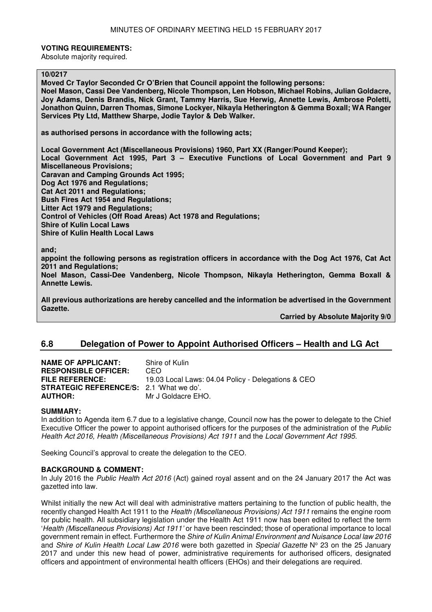## **VOTING REQUIREMENTS:**

Absolute majority required.

# **10/0217**

**Moved Cr Taylor Seconded Cr O'Brien that Council appoint the following persons: Noel Mason, Cassi Dee Vandenberg, Nicole Thompson, Len Hobson, Michael Robins, Julian Goldacre, Joy Adams, Denis Brandis, Nick Grant, Tammy Harris, Sue Herwig, Annette Lewis, Ambrose Poletti, Jonathon Quinn, Darren Thomas, Simone Lockyer, Nikayla Hetherington & Gemma Boxall; WA Ranger Services Pty Ltd, Matthew Sharpe, Jodie Taylor & Deb Walker.** 

**as authorised persons in accordance with the following acts;** 

**Local Government Act (Miscellaneous Provisions) 1960, Part XX (Ranger/Pound Keeper); Local Government Act 1995, Part 3 – Executive Functions of Local Government and Part 9 Miscellaneous Provisions; Caravan and Camping Grounds Act 1995; Dog Act 1976 and Regulations; Cat Act 2011 and Regulations; Bush Fires Act 1954 and Regulations; Litter Act 1979 and Regulations; Control of Vehicles (Off Road Areas) Act 1978 and Regulations; Shire of Kulin Local Laws Shire of Kulin Health Local Laws** 

**and;** 

**appoint the following persons as registration officers in accordance with the Dog Act 1976, Cat Act 2011 and Regulations;** 

**Noel Mason, Cassi-Dee Vandenberg, Nicole Thompson, Nikayla Hetherington, Gemma Boxall & Annette Lewis.** 

**All previous authorizations are hereby cancelled and the information be advertised in the Government Gazette.** 

 **Carried by Absolute Majority 9/0** 

# **6.8 Delegation of Power to Appoint Authorised Officers – Health and LG Act**

| <b>NAME OF APPLICANT:</b>                       | Shire of Kulin                                     |
|-------------------------------------------------|----------------------------------------------------|
| <b>RESPONSIBLE OFFICER:</b>                     | CEO.                                               |
| <b>FILE REFERENCE:</b>                          | 19.03 Local Laws: 04.04 Policy - Delegations & CEO |
| <b>STRATEGIC REFERENCE/S: 2.1 'What we do'.</b> |                                                    |
| <b>AUTHOR:</b>                                  | Mr J Goldacre EHO.                                 |

## **SUMMARY:**

In addition to Agenda item 6.7 due to a legislative change, Council now has the power to delegate to the Chief Executive Officer the power to appoint authorised officers for the purposes of the administration of the Public Health Act 2016, Health (Miscellaneous Provisions) Act 1911 and the Local Government Act 1995.

Seeking Council's approval to create the delegation to the CEO.

# **BACKGROUND & COMMENT:**

In July 2016 the Public Health Act 2016 (Act) gained royal assent and on the 24 January 2017 the Act was gazetted into law.

Whilst initially the new Act will deal with administrative matters pertaining to the function of public health, the recently changed Health Act 1911 to the Health (Miscellaneous Provisions) Act 1911 remains the engine room for public health. All subsidiary legislation under the Health Act 1911 now has been edited to reflect the term 'Health (Miscellaneous Provisions) Act 1911' or have been rescinded; those of operational importance to local government remain in effect. Furthermore the Shire of Kulin Animal Environment and Nuisance Local law 2016 and Shire of Kulin Health Local Law 2016 were both gazetted in Special Gazette Nº 23 on the 25 January 2017 and under this new head of power, administrative requirements for authorised officers, designated officers and appointment of environmental health officers (EHOs) and their delegations are required.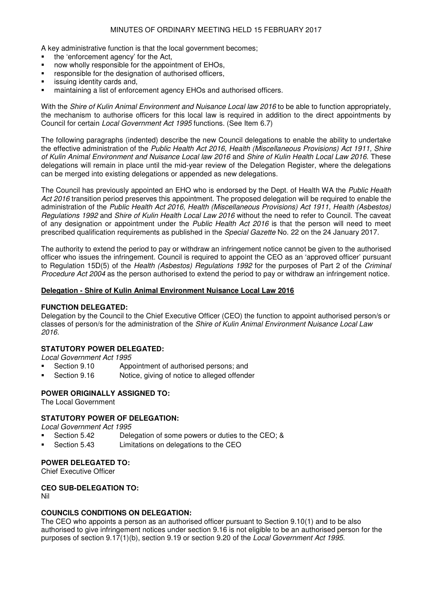A key administrative function is that the local government becomes;

- the 'enforcement agency' for the Act,
- now wholly responsible for the appointment of EHOs,
- **F** responsible for the designation of authorised officers,
- issuing identity cards and,
- maintaining a list of enforcement agency EHOs and authorised officers.

With the Shire of Kulin Animal Environment and Nuisance Local law 2016 to be able to function appropriately, the mechanism to authorise officers for this local law is required in addition to the direct appointments by Council for certain Local Government Act 1995 functions. (See Item 6.7)

The following paragraphs (indented) describe the new Council delegations to enable the ability to undertake the effective administration of the Public Health Act 2016, Health (Miscellaneous Provisions) Act 1911, Shire of Kulin Animal Environment and Nuisance Local law 2016 and Shire of Kulin Health Local Law 2016. These delegations will remain in place until the mid-year review of the Delegation Register, where the delegations can be merged into existing delegations or appended as new delegations.

The Council has previously appointed an EHO who is endorsed by the Dept. of Health WA the Public Health Act 2016 transition period preserves this appointment. The proposed delegation will be required to enable the administration of the Public Health Act 2016, Health (Miscellaneous Provisions) Act 1911, Health (Asbestos) Regulations 1992 and Shire of Kulin Health Local Law 2016 without the need to refer to Council. The caveat of any designation or appointment under the Public Health Act 2016 is that the person will need to meet prescribed qualification requirements as published in the Special Gazette No. 22 on the 24 January 2017.

The authority to extend the period to pay or withdraw an infringement notice cannot be given to the authorised officer who issues the infringement. Council is required to appoint the CEO as an 'approved officer' pursuant to Regulation 15D(5) of the Health (Asbestos) Regulations 1992 for the purposes of Part 2 of the Criminal Procedure Act 2004 as the person authorised to extend the period to pay or withdraw an infringement notice.

## **Delegation - Shire of Kulin Animal Environment Nuisance Local Law 2016**

## **FUNCTION DELEGATED:**

Delegation by the Council to the Chief Executive Officer (CEO) the function to appoint authorised person/s or classes of person/s for the administration of the Shire of Kulin Animal Environment Nuisance Local Law 2016.

# **STATUTORY POWER DELEGATED:**

Local Government Act 1995

- Section 9.10 Appointment of authorised persons; and
- Section 9.16 Notice, giving of notice to alleged offender

## **POWER ORIGINALLY ASSIGNED TO:**

The Local Government

## **STATUTORY POWER OF DELEGATION:**

Local Government Act 1995

- Section 5.42 Delegation of some powers or duties to the CEO; &
- Section 5.43 Limitations on delegations to the CEO

#### **POWER DELEGATED TO:**

Chief Executive Officer

# **CEO SUB-DELEGATION TO:**

Nil

## **COUNCILS CONDITIONS ON DELEGATION:**

The CEO who appoints a person as an authorised officer pursuant to Section 9.10(1) and to be also authorised to give infringement notices under section 9.16 is not eligible to be an authorised person for the purposes of section 9.17(1)(b), section 9.19 or section 9.20 of the Local Government Act 1995.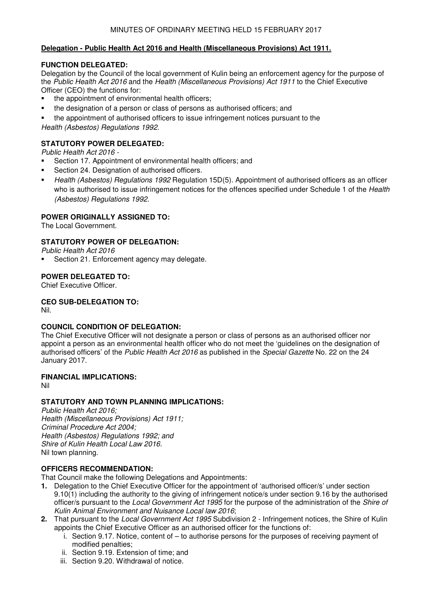# **Delegation - Public Health Act 2016 and Health (Miscellaneous Provisions) Act 1911.**

# **FUNCTION DELEGATED:**

Delegation by the Council of the local government of Kulin being an enforcement agency for the purpose of the Public Health Act 2016 and the Health (Miscellaneous Provisions) Act 1911 to the Chief Executive Officer (CEO) the functions for:

- the appointment of environmental health officers;
- the designation of a person or class of persons as authorised officers; and
- the appointment of authorised officers to issue infringement notices pursuant to the

Health (Asbestos) Regulations 1992.

# **STATUTORY POWER DELEGATED:**

Public Health Act 2016 -

- **Section 17. Appointment of environmental health officers; and**
- **Section 24. Designation of authorised officers.**
- Health (Asbestos) Regulations 1992 Regulation 15D(5). Appointment of authorised officers as an officer who is authorised to issue infringement notices for the offences specified under Schedule 1 of the Health (Asbestos) Regulations 1992.

# **POWER ORIGINALLY ASSIGNED TO:**

The Local Government.

# **STATUTORY POWER OF DELEGATION:**

Public Health Act 2016

Section 21. Enforcement agency may delegate.

# **POWER DELEGATED TO:**

Chief Executive Officer.

# **CEO SUB-DELEGATION TO:**

Nil.

# **COUNCIL CONDITION OF DELEGATION:**

The Chief Executive Officer will not designate a person or class of persons as an authorised officer nor appoint a person as an environmental health officer who do not meet the 'guidelines on the designation of authorised officers' of the Public Health Act 2016 as published in the Special Gazette No. 22 on the 24 January 2017.

# **FINANCIAL IMPLICATIONS:**

Nil

# **STATUTORY AND TOWN PLANNING IMPLICATIONS:**

Public Health Act 2016; Health (Miscellaneous Provisions) Act 1911; Criminal Procedure Act 2004; Health (Asbestos) Regulations 1992; and Shire of Kulin Health Local Law 2016. Nil town planning.

# **OFFICERS RECOMMENDATION:**

That Council make the following Delegations and Appointments:

- **1.** Delegation to the Chief Executive Officer for the appointment of 'authorised officer/s' under section 9.10(1) including the authority to the giving of infringement notice/s under section 9.16 by the authorised officer/s pursuant to the Local Government Act 1995 for the purpose of the administration of the Shire of Kulin Animal Environment and Nuisance Local law 2016;
- **2.** That pursuant to the Local Government Act 1995 Subdivision 2 Infringement notices, the Shire of Kulin appoints the Chief Executive Officer as an authorised officer for the functions of:
	- i. Section 9.17. Notice, content of to authorise persons for the purposes of receiving payment of modified penalties;
	- ii. Section 9.19. Extension of time; and
	- iii. Section 9.20. Withdrawal of notice.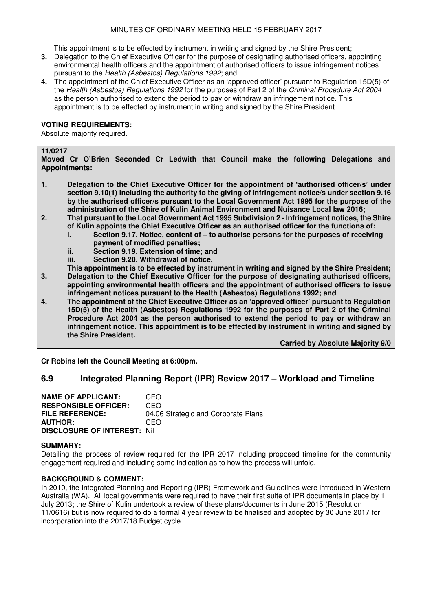This appointment is to be effected by instrument in writing and signed by the Shire President;

- **3.** Delegation to the Chief Executive Officer for the purpose of designating authorised officers, appointing environmental health officers and the appointment of authorised officers to issue infringement notices pursuant to the Health (Asbestos) Regulations 1992; and
- **4.** The appointment of the Chief Executive Officer as an 'approved officer' pursuant to Regulation 15D(5) of the Health (Asbestos) Regulations 1992 for the purposes of Part 2 of the Criminal Procedure Act 2004 as the person authorised to extend the period to pay or withdraw an infringement notice. This appointment is to be effected by instrument in writing and signed by the Shire President.

# **VOTING REQUIREMENTS:**

Absolute majority required.

### **11/0217**

**Moved Cr O'Brien Seconded Cr Ledwith that Council make the following Delegations and Appointments:** 

- **1. Delegation to the Chief Executive Officer for the appointment of 'authorised officer/s' under section 9.10(1) including the authority to the giving of infringement notice/s under section 9.16 by the authorised officer/s pursuant to the Local Government Act 1995 for the purpose of the administration of the Shire of Kulin Animal Environment and Nuisance Local law 2016;**
- **2. That pursuant to the Local Government Act 1995 Subdivision 2 Infringement notices, the Shire of Kulin appoints the Chief Executive Officer as an authorised officer for the functions of:** 
	- **i. Section 9.17. Notice, content of to authorise persons for the purposes of receiving payment of modified penalties;**
	- **ii. Section 9.19. Extension of time; and**
	- **iii. Section 9.20. Withdrawal of notice.**
- **This appointment is to be effected by instrument in writing and signed by the Shire President; 3. Delegation to the Chief Executive Officer for the purpose of designating authorised officers, appointing environmental health officers and the appointment of authorised officers to issue infringement notices pursuant to the Health (Asbestos) Regulations 1992; and**
- **4. The appointment of the Chief Executive Officer as an 'approved officer' pursuant to Regulation 15D(5) of the Health (Asbestos) Regulations 1992 for the purposes of Part 2 of the Criminal Procedure Act 2004 as the person authorised to extend the period to pay or withdraw an infringement notice. This appointment is to be effected by instrument in writing and signed by the Shire President.**

 **Carried by Absolute Majority 9/0** 

**Cr Robins left the Council Meeting at 6:00pm.** 

# **6.9 Integrated Planning Report (IPR) Review 2017 – Workload and Timeline**

**NAME OF APPLICANT:** CEO **RESPONSIBLE OFFICER:** CEO **FILE REFERENCE:** 04.06 Strategic and Corporate Plans **AUTHOR:** CEO **DISCLOSURE OF INTEREST:** Nil

## **SUMMARY:**

Detailing the process of review required for the IPR 2017 including proposed timeline for the community engagement required and including some indication as to how the process will unfold.

## **BACKGROUND & COMMENT:**

In 2010, the Integrated Planning and Reporting (IPR) Framework and Guidelines were introduced in Western Australia (WA). All local governments were required to have their first suite of IPR documents in place by 1 July 2013; the Shire of Kulin undertook a review of these plans/documents in June 2015 (Resolution 11/0616) but is now required to do a formal 4 year review to be finalised and adopted by 30 June 2017 for incorporation into the 2017/18 Budget cycle.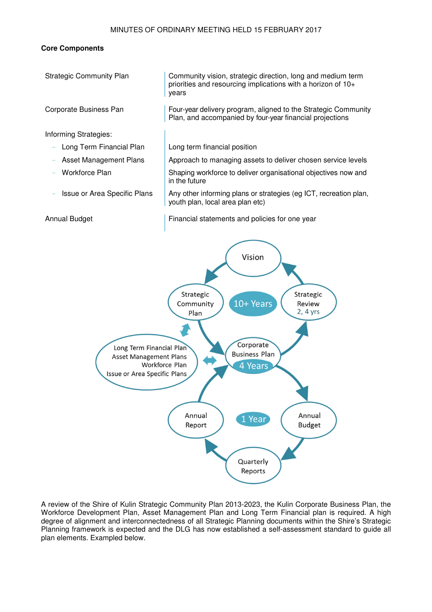## **Core Components**



A review of the Shire of Kulin Strategic Community Plan 2013-2023, the Kulin Corporate Business Plan, the Workforce Development Plan, Asset Management Plan and Long Term Financial plan is required. A high degree of alignment and interconnectedness of all Strategic Planning documents within the Shire's Strategic Planning framework is expected and the DLG has now established a self-assessment standard to guide all plan elements. Exampled below.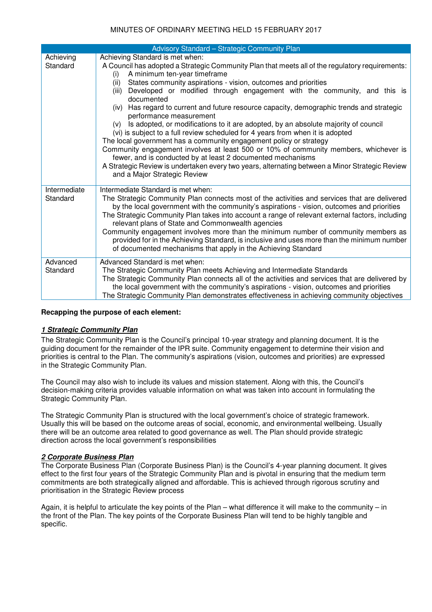| Advisory Standard - Strategic Community Plan |                                                                                                                                                                                                                                                                                                                                                                                                                                                                                                                                                                                                                                               |  |  |
|----------------------------------------------|-----------------------------------------------------------------------------------------------------------------------------------------------------------------------------------------------------------------------------------------------------------------------------------------------------------------------------------------------------------------------------------------------------------------------------------------------------------------------------------------------------------------------------------------------------------------------------------------------------------------------------------------------|--|--|
| Achieving                                    | Achieving Standard is met when:                                                                                                                                                                                                                                                                                                                                                                                                                                                                                                                                                                                                               |  |  |
| Standard                                     | A Council has adopted a Strategic Community Plan that meets all of the regulatory requirements:<br>A minimum ten-year timeframe<br>(i)<br>States community aspirations - vision, outcomes and priorities<br>(ii)<br>Developed or modified through engagement with the community, and this is<br>(iii)<br>documented<br>(iv) Has regard to current and future resource capacity, demographic trends and strategic<br>performance measurement<br>Is adopted, or modifications to it are adopted, by an absolute majority of council<br>(V)                                                                                                      |  |  |
|                                              | (vi) is subject to a full review scheduled for 4 years from when it is adopted                                                                                                                                                                                                                                                                                                                                                                                                                                                                                                                                                                |  |  |
|                                              | The local government has a community engagement policy or strategy<br>Community engagement involves at least 500 or 10% of community members, whichever is<br>fewer, and is conducted by at least 2 documented mechanisms<br>A Strategic Review is undertaken every two years, alternating between a Minor Strategic Review<br>and a Major Strategic Review                                                                                                                                                                                                                                                                                   |  |  |
| Intermediate<br>Standard                     | Intermediate Standard is met when:<br>The Strategic Community Plan connects most of the activities and services that are delivered<br>by the local government with the community's aspirations - vision, outcomes and priorities<br>The Strategic Community Plan takes into account a range of relevant external factors, including<br>relevant plans of State and Commonwealth agencies<br>Community engagement involves more than the minimum number of community members as<br>provided for in the Achieving Standard, is inclusive and uses more than the minimum number<br>of documented mechanisms that apply in the Achieving Standard |  |  |
| Advanced<br>Standard                         | Advanced Standard is met when:<br>The Strategic Community Plan meets Achieving and Intermediate Standards<br>The Strategic Community Plan connects all of the activities and services that are delivered by<br>the local government with the community's aspirations - vision, outcomes and priorities<br>The Strategic Community Plan demonstrates effectiveness in achieving community objectives                                                                                                                                                                                                                                           |  |  |

# **Recapping the purpose of each element:**

# **1 Strategic Community Plan**

The Strategic Community Plan is the Council's principal 10-year strategy and planning document. It is the guiding document for the remainder of the IPR suite. Community engagement to determine their vision and priorities is central to the Plan. The community's aspirations (vision, outcomes and priorities) are expressed in the Strategic Community Plan.

The Council may also wish to include its values and mission statement. Along with this, the Council's decision-making criteria provides valuable information on what was taken into account in formulating the Strategic Community Plan.

The Strategic Community Plan is structured with the local government's choice of strategic framework. Usually this will be based on the outcome areas of social, economic, and environmental wellbeing. Usually there will be an outcome area related to good governance as well. The Plan should provide strategic direction across the local government's responsibilities

## **2 Corporate Business Plan**

The Corporate Business Plan (Corporate Business Plan) is the Council's 4-year planning document. It gives effect to the first four years of the Strategic Community Plan and is pivotal in ensuring that the medium term commitments are both strategically aligned and affordable. This is achieved through rigorous scrutiny and prioritisation in the Strategic Review process

Again, it is helpful to articulate the key points of the Plan – what difference it will make to the community – in the front of the Plan. The key points of the Corporate Business Plan will tend to be highly tangible and specific.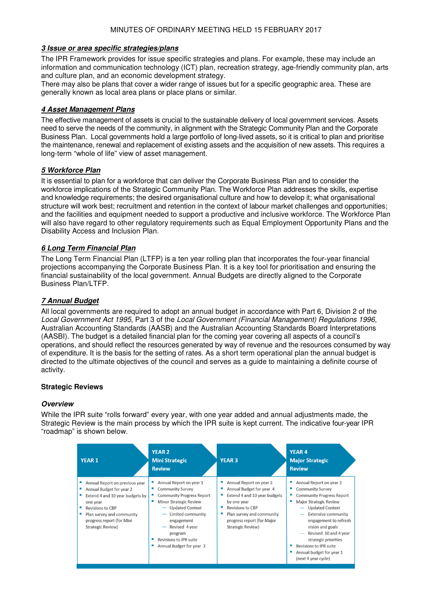# **3 Issue or area specific strategies/plans**

The IPR Framework provides for issue specific strategies and plans. For example, these may include an information and communication technology (ICT) plan, recreation strategy, age-friendly community plan, arts and culture plan, and an economic development strategy.

There may also be plans that cover a wider range of issues but for a specific geographic area. These are generally known as local area plans or place plans or similar.

# **4 Asset Management Plans**

The effective management of assets is crucial to the sustainable delivery of local government services. Assets need to serve the needs of the community, in alignment with the Strategic Community Plan and the Corporate Business Plan. Local governments hold a large portfolio of long-lived assets, so it is critical to plan and prioritise the maintenance, renewal and replacement of existing assets and the acquisition of new assets. This requires a long-term "whole of life" view of asset management.

# **5 Workforce Plan**

It is essential to plan for a workforce that can deliver the Corporate Business Plan and to consider the workforce implications of the Strategic Community Plan. The Workforce Plan addresses the skills, expertise and knowledge requirements; the desired organisational culture and how to develop it; what organisational structure will work best; recruitment and retention in the context of labour market challenges and opportunities; and the facilities and equipment needed to support a productive and inclusive workforce. The Workforce Plan will also have regard to other regulatory requirements such as Equal Employment Opportunity Plans and the Disability Access and Inclusion Plan.

# **6 Long Term Financial Plan**

The Long Term Financial Plan (LTFP) is a ten year rolling plan that incorporates the four-year financial projections accompanying the Corporate Business Plan. It is a key tool for prioritisation and ensuring the financial sustainability of the local government. Annual Budgets are directly aligned to the Corporate Business Plan/LTFP.

# **7 Annual Budget**

All local governments are required to adopt an annual budget in accordance with Part 6, Division 2 of the Local Government Act 1995, Part 3 of the Local Government (Financial Management) Regulations 1996, Australian Accounting Standards (AASB) and the Australian Accounting Standards Board Interpretations (AASBI). The budget is a detailed financial plan for the coming year covering all aspects of a council's operations, and should reflect the resources generated by way of revenue and the resources consumed by way of expenditure. It is the basis for the setting of rates. As a short term operational plan the annual budget is directed to the ultimate objectives of the council and serves as a guide to maintaining a definite course of activity.

# **Strategic Reviews**

# **Overview**

While the IPR suite "rolls forward" every year, with one year added and annual adjustments made, the Strategic Review is the main process by which the IPR suite is kept current. The indicative four-year IPR "roadmap" is shown below.

| <b>YEAR 1</b>                                                                                                                                                                                                       | <b>YEAR 2</b><br><b>Mini Strategic</b><br><b>Review</b>                                                                                                                                                                                                                                        | <b>YEAR 3</b>                                                                                                                                                                                               | <b>YEAR 4</b><br><b>Major Strategic</b><br><b>Review</b>                                                                                                                                                                                                                                                                                            |
|---------------------------------------------------------------------------------------------------------------------------------------------------------------------------------------------------------------------|------------------------------------------------------------------------------------------------------------------------------------------------------------------------------------------------------------------------------------------------------------------------------------------------|-------------------------------------------------------------------------------------------------------------------------------------------------------------------------------------------------------------|-----------------------------------------------------------------------------------------------------------------------------------------------------------------------------------------------------------------------------------------------------------------------------------------------------------------------------------------------------|
| Annual Report on previous year<br>Annual Budget for year 2<br>Extend 4 and 10 year budgets by<br>one year<br>Revisions to CBP<br>Plan survey and community<br>progress report (for Mini<br><b>Strategic Review)</b> | Annual Report on year 1<br><b>Community Survey</b><br><b>Community Progress Report</b><br>Minor Strategic Review<br>- Updated Context<br>Limited community<br>engagement<br>Revised 4 year<br>$\overline{\phantom{m}}$<br>program<br><b>Revisions to IPR suite</b><br>Annual Budget for year 3 | Annual Report on year 2<br>Annual Budget for year 4<br>Extend 4 and 10 year budgets<br>by one year<br>Revisions to CBP<br>٠<br>Plan survey and community<br>progress report (for Major<br>Strategic Review) | Annual Report on year 3<br><b>Community Survey</b><br><b>Community Progress Report</b><br>Major Strategic Review<br><b>Updated Context</b><br><b>Extensive community</b><br>engagement to refresh<br>vision and goals<br>Revised 10 and 4 year<br>strategic priorities<br>Revisions to IPR suite<br>Annual budget for year 1<br>(next 4 year cycle) |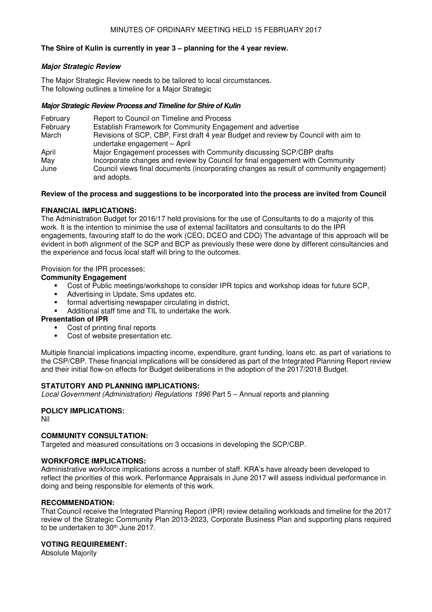# **The Shire of Kulin is currently in year 3 – planning for the 4 year review.**

## **Major Strategic Review**

The Major Strategic Review needs to be tailored to local circumstances. The following outlines a timeline for a Major Strategic

## **Major Strategic Review Process and Timeline for Shire of Kulin**

| February<br>February | Report to Council on Timeline and Process<br>Establish Framework for Community Engagement and advertise            |
|----------------------|--------------------------------------------------------------------------------------------------------------------|
| March                | Revisions of SCP, CBP, First draft 4 year Budget and review by Council with aim to<br>undertake engagement - April |
| April                | Major Engagement processes with Community discussing SCP/CBP drafts                                                |
| May                  | Incorporate changes and review by Council for final engagement with Community                                      |
| June                 | Council views final documents (incorporating changes as result of community engagement)<br>and adopts.             |

## **Review of the process and suggestions to be incorporated into the process are invited from Council**

## **FINANCIAL IMPLICATIONS:**

The Administration Budget for 2016/17 held provisions for the use of Consultants to do a majority of this work. It is the intention to minimise the use of external facilitators and consultants to do the IPR engagements, favouring staff to do the work (CEO, DCEO and CDO) The advantage of this approach will be evident in both alignment of the SCP and BCP as previously these were done by different consultancies and the experience and focus local staff will bring to the outcomes.

## Provision for the IPR processes;

## **Community Engagement**

- Cost of Public meetings/workshops to consider IPR topics and workshop ideas for future SCP,
- Advertising in Update, Sms updates etc.
- formal advertising newspaper circulating in district,
- Additional staff time and TIL to undertake the work.

## **Presentation of IPR**

- Cost of printing final reports
- Cost of website presentation etc.

Multiple financial implications impacting income, expenditure, grant funding, loans etc. as part of variations to the CSP/CBP. These financial implications will be considered as part of the Integrated Planning Report review and their initial flow-on effects for Budget deliberations in the adoption of the 2017/2018 Budget.

# **STATUTORY AND PLANNING IMPLICATIONS:**

Local Government (Administration) Regulations 1996 Part 5 – Annual reports and planning

# **POLICY IMPLICATIONS:**

Nil

# **COMMUNITY CONSULTATION:**

Targeted and measured consultations on 3 occasions in developing the SCP/CBP.

# **WORKFORCE IMPLICATIONS:**

Administrative workforce implications across a number of staff. KRA's have already been developed to reflect the priorities of this work. Performance Appraisals in June 2017 will assess individual performance in doing and being responsible for elements of this work.

# **RECOMMENDATION:**

That Council receive the Integrated Planning Report (IPR) review detailing workloads and timeline for the 2017 review of the Strategic Community Plan 2013-2023, Corporate Business Plan and supporting plans required to be undertaken to 30<sup>th</sup> June 2017.

# **VOTING REQUIREMENT:**

Absolute Majority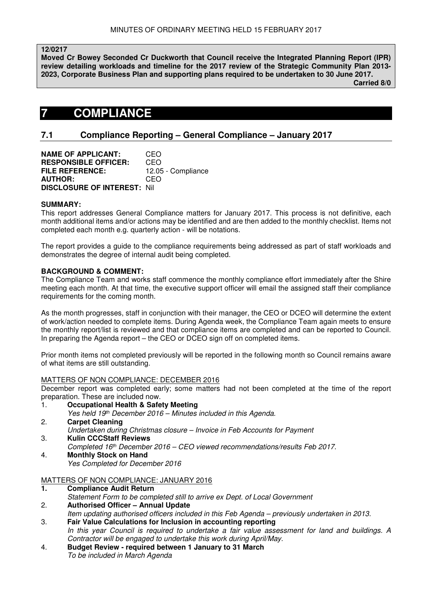**12/0217** 

**Moved Cr Bowey Seconded Cr Duckworth that Council receive the Integrated Planning Report (IPR) review detailing workloads and timeline for the 2017 review of the Strategic Community Plan 2013- 2023, Corporate Business Plan and supporting plans required to be undertaken to 30 June 2017.** 

 **Carried 8/0** 

# **7 COMPLIANCE**

# **7.1 Compliance Reporting – General Compliance – January 2017**

| <b>NAME OF APPLICANT:</b>          | CEO                |
|------------------------------------|--------------------|
| <b>RESPONSIBLE OFFICER:</b>        | CEO                |
| <b>FILE REFERENCE:</b>             | 12.05 - Compliance |
| <b>AUTHOR:</b>                     | CEO                |
| <b>DISCLOSURE OF INTEREST: Nil</b> |                    |

## **SUMMARY:**

This report addresses General Compliance matters for January 2017. This process is not definitive, each month additional items and/or actions may be identified and are then added to the monthly checklist. Items not completed each month e.g. quarterly action - will be notations.

The report provides a guide to the compliance requirements being addressed as part of staff workloads and demonstrates the degree of internal audit being completed.

## **BACKGROUND & COMMENT:**

The Compliance Team and works staff commence the monthly compliance effort immediately after the Shire meeting each month. At that time, the executive support officer will email the assigned staff their compliance requirements for the coming month.

As the month progresses, staff in conjunction with their manager, the CEO or DCEO will determine the extent of work/action needed to complete items. During Agenda week, the Compliance Team again meets to ensure the monthly report/list is reviewed and that compliance items are completed and can be reported to Council. In preparing the Agenda report – the CEO or DCEO sign off on completed items.

Prior month items not completed previously will be reported in the following month so Council remains aware of what items are still outstanding.

## MATTERS OF NON COMPLIANCE: DECEMBER 2016

December report was completed early; some matters had not been completed at the time of the report preparation. These are included now.

- 1. **Occupational Health & Safety Meeting**
- Yes held 19th December 2016 Minutes included in this Agenda.
- 2. **Carpet Cleaning**  Undertaken during Christmas closure – Invoice in Feb Accounts for Payment
- 3. **Kulin CCCStaff Reviews**  Completed 16<sup>th</sup> December 2016 – CEO viewed recommendations/results Feb 2017.
- 4. **Monthly Stock on Hand** Yes Completed for December 2016

# MATTERS OF NON COMPLIANCE: JANUARY 2016

- **1. Compliance Audit Return**
- Statement Form to be completed still to arrive ex Dept. of Local Government

2. **Authorised Officer – Annual Update** 

Item updating authorised officers included in this Feb Agenda – previously undertaken in 2013.

- 3. **Fair Value Calculations for Inclusion in accounting reporting**  In this year Council is required to undertake a fair value assessment for land and buildings. A Contractor will be engaged to undertake this work during April/May.
- 4. **Budget Review required between 1 January to 31 March**  To be included in March Agenda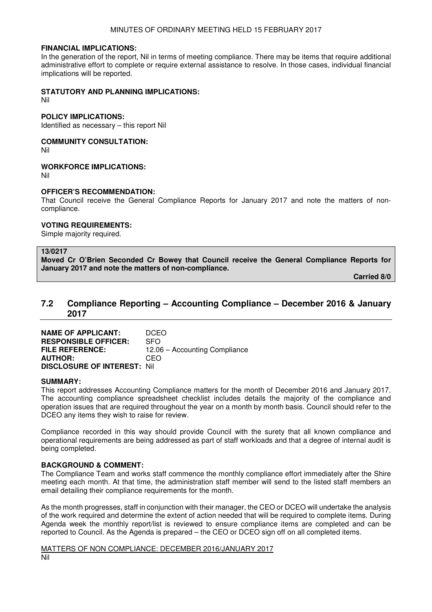### **FINANCIAL IMPLICATIONS:**

In the generation of the report, Nil in terms of meeting compliance. There may be items that require additional administrative effort to complete or require external assistance to resolve. In those cases, individual financial implications will be reported.

## **STATUTORY AND PLANNING IMPLICATIONS:**

Nil

#### **POLICY IMPLICATIONS:**

Identified as necessary – this report Nil

## **COMMUNITY CONSULTATION:**

Nil

## **WORKFORCE IMPLICATIONS:**

Nil

## **OFFICER'S RECOMMENDATION:**

That Council receive the General Compliance Reports for January 2017 and note the matters of noncompliance.

## **VOTING REQUIREMENTS:**

Simple majority required.

## **13/0217**

**Moved Cr O'Brien Seconded Cr Bowey that Council receive the General Compliance Reports for January 2017 and note the matters of non-compliance.** 

 **Carried 8/0** 

# **7.2 Compliance Reporting – Accounting Compliance – December 2016 & January 2017**

| <b>NAME OF APPLICANT:</b>          | <b>DCEO</b>                   |
|------------------------------------|-------------------------------|
| <b>RESPONSIBLE OFFICER:</b>        | <b>SFO</b>                    |
| <b>FILE REFERENCE:</b>             | 12.06 – Accounting Compliance |
| <b>AUTHOR:</b>                     | CFO                           |
| <b>DISCLOSURE OF INTEREST: Nil</b> |                               |

## **SUMMARY:**

This report addresses Accounting Compliance matters for the month of December 2016 and January 2017. The accounting compliance spreadsheet checklist includes details the majority of the compliance and operation issues that are required throughout the year on a month by month basis. Council should refer to the DCEO any items they wish to raise for review.

Compliance recorded in this way should provide Council with the surety that all known compliance and operational requirements are being addressed as part of staff workloads and that a degree of internal audit is being completed.

# **BACKGROUND & COMMENT:**

The Compliance Team and works staff commence the monthly compliance effort immediately after the Shire meeting each month. At that time, the administration staff member will send to the listed staff members an email detailing their compliance requirements for the month.

As the month progresses, staff in conjunction with their manager, the CEO or DCEO will undertake the analysis of the work required and determine the extent of action needed that will be required to complete items. During Agenda week the monthly report/list is reviewed to ensure compliance items are completed and can be reported to Council. As the Agenda is prepared – the CEO or DCEO sign off on all completed items.

## MATTERS OF NON COMPLIANCE: DECEMBER 2016/JANUARY 2017

Nil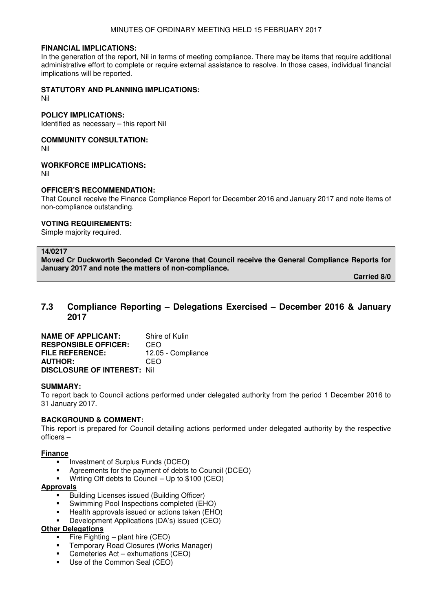## **FINANCIAL IMPLICATIONS:**

In the generation of the report, Nil in terms of meeting compliance. There may be items that require additional administrative effort to complete or require external assistance to resolve. In those cases, individual financial implications will be reported.

# **STATUTORY AND PLANNING IMPLICATIONS:**

Nil

## **POLICY IMPLICATIONS:**

Identified as necessary – this report Nil

## **COMMUNITY CONSULTATION:**

Nil

# **WORKFORCE IMPLICATIONS:**

Nil

# **OFFICER'S RECOMMENDATION:**

That Council receive the Finance Compliance Report for December 2016 and January 2017 and note items of non-compliance outstanding.

# **VOTING REQUIREMENTS:**

Simple majority required.

## **14/0217**

**Moved Cr Duckworth Seconded Cr Varone that Council receive the General Compliance Reports for January 2017 and note the matters of non-compliance.** 

 **Carried 8/0** 

# **7.3 Compliance Reporting – Delegations Exercised – December 2016 & January 2017**

**NAME OF APPLICANT:** Shire of Kulin **RESPONSIBLE OFFICER:** CEO **FILE REFERENCE:** 12.05 - Compliance **AUTHOR:** CEO **DISCLOSURE OF INTEREST:** Nil

# **SUMMARY:**

To report back to Council actions performed under delegated authority from the period 1 December 2016 to 31 January 2017.

# **BACKGROUND & COMMENT:**

This report is prepared for Council detailing actions performed under delegated authority by the respective officers –

## **Finance**

- Investment of Surplus Funds (DCEO)
- Agreements for the payment of debts to Council (DCEO)
- **Writing Off debts to Council Up to**  $$100$  **(CEO)**

## **Approvals**

- **Building Licenses issued (Building Officer)**
- Swimming Pool Inspections completed (EHO)
- Health approvals issued or actions taken (EHO)
- Development Applications (DA's) issued (CEO)

# **Other Delegations**

- Fire Fighting plant hire  $(CEO)$
- **F** Temporary Road Closures (Works Manager)
- Cemeteries Act exhumations (CEO)
- Use of the Common Seal (CEO)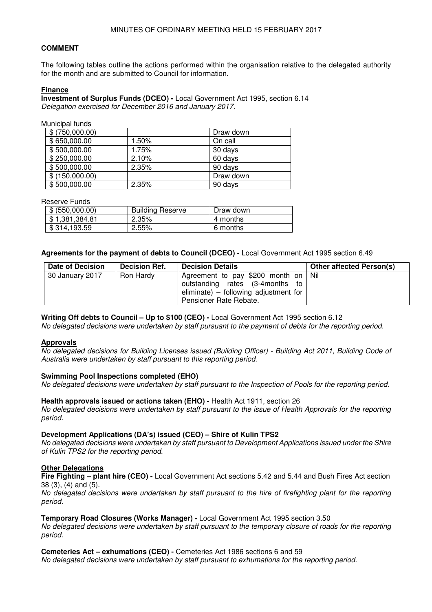# **COMMENT**

The following tables outline the actions performed within the organisation relative to the delegated authority for the month and are submitted to Council for information.

## **Finance**

**Investment of Surplus Funds (DCEO) -** Local Government Act 1995, section 6.14 Delegation exercised for December 2016 and January 2017.

Municipal funds

| \$ (750,000.00) |       | Draw down |
|-----------------|-------|-----------|
| \$650,000.00    | 1.50% | On call   |
| \$500,000.00    | 1.75% | 30 days   |
| \$250,000.00    | 2.10% | 60 days   |
| \$500,000.00    | 2.35% | 90 days   |
| \$(150,000.00)  |       | Draw down |
| \$500,000.00    | 2.35% | 90 days   |

Reserve Funds

| \$ (550,000.00) | <b>Building Reserve</b> | Draw down |
|-----------------|-------------------------|-----------|
| \$1,381,384.81  | 2.35%                   | 4 months  |
| \$314,193.59    | 2.55%                   | 6 months  |

**Agreements for the payment of debts to Council (DCEO) -** Local Government Act 1995 section 6.49

| <b>Date of Decision</b> | <b>Decision Ref.</b> | <b>Decision Details</b>               | <b>Other affected Person(s)</b> |
|-------------------------|----------------------|---------------------------------------|---------------------------------|
| 30 January 2017         | Ron Hardy            | Agreement to pay \$200 month on   Nil |                                 |
|                         |                      | outstanding rates (3-4months to       |                                 |
|                         |                      | eliminate) – following adjustment for |                                 |
|                         |                      | Pensioner Rate Rebate.                |                                 |

**Writing Off debts to Council – Up to \$100 (CEO) -** Local Government Act 1995 section 6.12

No delegated decisions were undertaken by staff pursuant to the payment of debts for the reporting period.

## **Approvals**

No delegated decisions for Building Licenses issued (Building Officer) - Building Act 2011, Building Code of Australia were undertaken by staff pursuant to this reporting period.

## **Swimming Pool Inspections completed (EHO)**

No delegated decisions were undertaken by staff pursuant to the Inspection of Pools for the reporting period.

#### **Health approvals issued or actions taken (EHO) -** Health Act 1911, section 26 No delegated decisions were undertaken by staff pursuant to the issue of Health Approvals for the reporting period.

# **Development Applications (DA's) issued (CEO) – Shire of Kulin TPS2**

No delegated decisions were undertaken by staff pursuant to Development Applications issued under the Shire of Kulin TPS2 for the reporting period.

## **Other Delegations**

**Fire Fighting – plant hire (CEO) -** Local Government Act sections 5.42 and 5.44 and Bush Fires Act section 38 (3), (4) and (5).

No delegated decisions were undertaken by staff pursuant to the hire of firefighting plant for the reporting period.

# **Temporary Road Closures (Works Manager) -** Local Government Act 1995 section 3.50

No delegated decisions were undertaken by staff pursuant to the temporary closure of roads for the reporting period.

**Cemeteries Act – exhumations (CEO) -** Cemeteries Act 1986 sections 6 and 59 No delegated decisions were undertaken by staff pursuant to exhumations for the reporting period.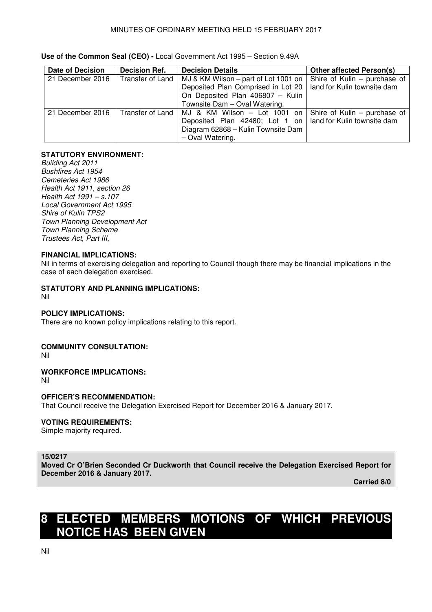| Date of Decision | <b>Decision Ref.</b> | <b>Decision Details</b>                                                                                                                                                     | <b>Other affected Person(s)</b>                             |
|------------------|----------------------|-----------------------------------------------------------------------------------------------------------------------------------------------------------------------------|-------------------------------------------------------------|
| 21 December 2016 | Transfer of Land     | MJ & KM Wilson - part of Lot 1001 on<br>Deposited Plan Comprised in Lot 20<br>On Deposited Plan 406807 - Kulin<br>Townsite Dam - Oval Watering.                             | Shire of Kulin - purchase of<br>land for Kulin townsite dam |
| 21 December 2016 |                      | Transfer of Land   MJ & KM Wilson - Lot 1001 on  <br>Deposited Plan 42480; Lot 1 on   land for Kulin townsite dam<br>Diagram 62868 - Kulin Townsite Dam<br>- Oval Watering. | Shire of Kulin - purchase of                                |

# **Use of the Common Seal (CEO) -** Local Government Act 1995 – Section 9.49A

# **STATUTORY ENVIRONMENT:**

Building Act 2011 Bushfires Act 1954 Cemeteries Act 1986 Health Act 1911, section 26 Health Act 1991 – s.107 Local Government Act 1995 Shire of Kulin TPS2 Town Planning Development Act Town Planning Scheme Trustees Act, Part III,

## **FINANCIAL IMPLICATIONS:**

Nil in terms of exercising delegation and reporting to Council though there may be financial implications in the case of each delegation exercised.

# **STATUTORY AND PLANNING IMPLICATIONS:**

Nil

# **POLICY IMPLICATIONS:**

There are no known policy implications relating to this report.

# **COMMUNITY CONSULTATION:**

Nil

# **WORKFORCE IMPLICATIONS:**

Nil

# **OFFICER'S RECOMMENDATION:**

That Council receive the Delegation Exercised Report for December 2016 & January 2017.

# **VOTING REQUIREMENTS:**

Simple majority required.

## **15/0217**

**Moved Cr O'Brien Seconded Cr Duckworth that Council receive the Delegation Exercised Report for December 2016 & January 2017.** 

 **Carried 8/0** 

# **8 ELECTED MEMBERS MOTIONS OF WHICH PREVIOUS NOTICE HAS BEEN GIVEN**